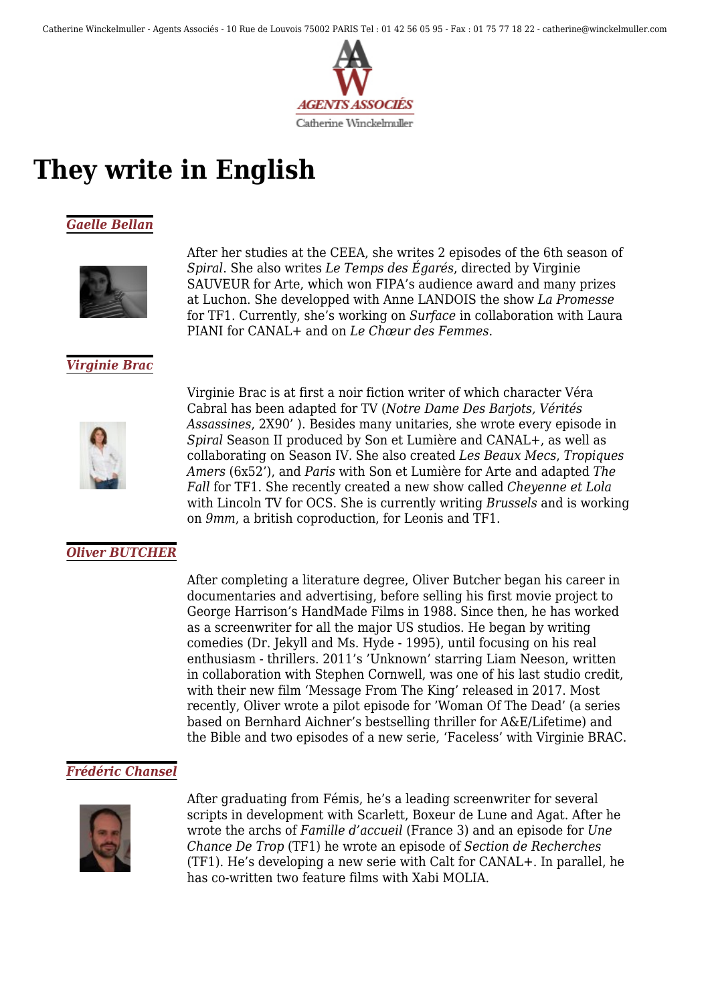

# **They write in English**

# *[Gaelle Bellan](https://www.winckelmuller.com/Bellan-177.html)*



After her studies at the CEEA, she writes 2 episodes of the 6th season of *Spiral*. She also writes *Le Temps des Égarés*, directed by Virginie SAUVEUR for Arte, which won FIPA's audience award and many prizes at Luchon. She developped with Anne LANDOIS the show *La Promesse* for TF1. Currently, she's working on *Surface* in collaboration with Laura PIANI for CANAL+ and on *Le Chœur des Femmes*.

# *[Virginie Brac](https://www.winckelmuller.com/Brac,162.html)*



Virginie Brac is at first a noir fiction writer of which character Véra Cabral has been adapted for TV (*Notre Dame Des Barjots, Vérités Assassines*, 2X90' ). Besides many unitaries, she wrote every episode in *Spiral* Season II produced by Son et Lumière and CANAL+, as well as collaborating on Season IV. She also created *Les Beaux Mecs*, *Tropiques Amers* (6x52'), and *Paris* with Son et Lumière for Arte and adapted *The Fall* for TF1. She recently created a new show called *Cheyenne et Lola* with Lincoln TV for OCS. She is currently writing *Brussels* and is working on *9mm*, a british coproduction, for Leonis and TF1.

#### *[Oliver BUTCHER](https://www.winckelmuller.com/BUTCHER.html)*

After completing a literature degree, Oliver Butcher began his career in documentaries and advertising, before selling his first movie project to George Harrison's HandMade Films in 1988. Since then, he has worked as a screenwriter for all the major US studios. He began by writing comedies (Dr. Jekyll and Ms. Hyde - 1995), until focusing on his real enthusiasm - thrillers. 2011's 'Unknown' starring Liam Neeson, written in collaboration with Stephen Cornwell, was one of his last studio credit, with their new film 'Message From The King' released in 2017. Most recently, Oliver wrote a pilot episode for 'Woman Of The Dead' (a series based on Bernhard Aichner's bestselling thriller for A&E/Lifetime) and the Bible and two episodes of a new serie, 'Faceless' with Virginie BRAC.

#### *[Frédéric Chansel](https://www.winckelmuller.com/Chansel,163.html)*



After graduating from Fémis, he's a leading screenwriter for several scripts in development with Scarlett, Boxeur de Lune and Agat. After he wrote the archs of *Famille d'accueil* (France 3) and an episode for *Une Chance De Trop* (TF1) he wrote an episode of *Section de Recherches* (TF1). He's developing a new serie with Calt for CANAL+. In parallel, he has co-written two feature films with Xabi MOLIA.